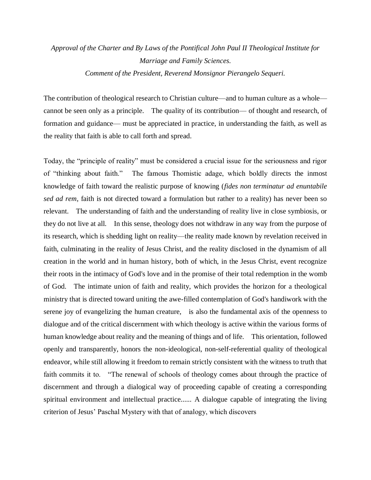*Approval of the Charter and By Laws of the Pontifical John Paul II Theological Institute for Marriage and Family Sciences. Comment of the President, Reverend Monsignor Pierangelo Sequeri.*

The contribution of theological research to Christian culture—and to human culture as a whole cannot be seen only as a principle. The quality of its contribution— of thought and research, of formation and guidance— must be appreciated in practice, in understanding the faith, as well as the reality that faith is able to call forth and spread.

Today, the "principle of reality" must be considered a crucial issue for the seriousness and rigor of "thinking about faith." The famous Thomistic adage, which boldly directs the inmost knowledge of faith toward the realistic purpose of knowing (*fides non terminatur ad enuntabile sed ad rem*, faith is not directed toward a formulation but rather to a reality) has never been so relevant. The understanding of faith and the understanding of reality live in close symbiosis, or they do not live at all. In this sense, theology does not withdraw in any way from the purpose of its research, which is shedding light on reality—the reality made known by revelation received in faith, culminating in the reality of Jesus Christ, and the reality disclosed in the dynamism of all creation in the world and in human history, both of which, in the Jesus Christ, event recognize their roots in the intimacy of God's love and in the promise of their total redemption in the womb of God. The intimate union of faith and reality, which provides the horizon for a theological ministry that is directed toward uniting the awe-filled contemplation of God's handiwork with the serene joy of evangelizing the human creature, is also the fundamental axis of the openness to dialogue and of the critical discernment with which theology is active within the various forms of human knowledge about reality and the meaning of things and of life. This orientation, followed openly and transparently, honors the non-ideological, non-self-referential quality of theological endeavor, while still allowing it freedom to remain strictly consistent with the witness to truth that faith commits it to. "The renewal of schools of theology comes about through the practice of discernment and through a dialogical way of proceeding capable of creating a corresponding spiritual environment and intellectual practice...... A dialogue capable of integrating the living criterion of Jesus' Paschal Mystery with that of analogy, which discovers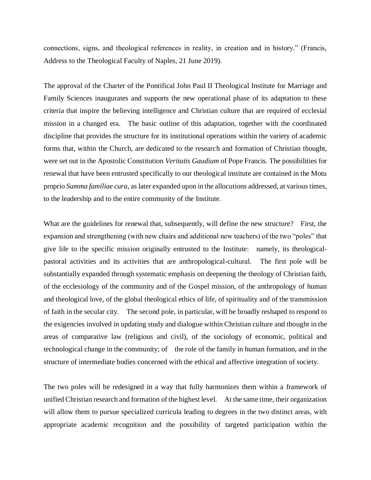connections, signs, and theological references in reality, in creation and in history." (Francis, Address to the Theological Faculty of Naples, 21 June 2019).

The approval of the Charter of the Pontifical John Paul II Theological Institute for Marriage and Family Sciences inaugurates and supports the new operational phase of its adaptation to these criteria that inspire the believing intelligence and Christian culture that are required of ecclesial mission in a changed era. The basic outline of this adaptation, together with the coordinated discipline that provides the structure for its institutional operations within the variety of academic forms that, within the Church, are dedicated to the research and formation of Christian thought, were set out in the Apostolic Constitution *Veritatis Gaudium* of Pope Francis. The possibilities for renewal that have been entrusted specifically to our theological institute are contained in the Motu proprio *Summa familiae cura*, as later expanded upon in the allocutions addressed, at various times, to the leadership and to the entire community of the Institute.

What are the guidelines for renewal that, subsequently, will define the new structure? First, the expansion and strengthening (with new chairs and additional new teachers) of the two "poles" that give life to the specific mission originally entrusted to the Institute: namely, its theologicalpastoral activities and its activities that are anthropological-cultural. The first pole will be substantially expanded through systematic emphasis on deepening the theology of Christian faith, of the ecclesiology of the community and of the Gospel mission, of the anthropology of human and theological love, of the global theological ethics of life, of spirituality and of the transmission of faith in the secular city. The second pole, in particular, will be broadly reshaped to respond to the exigencies involved in updating study and dialogue within Christian culture and thought in the areas of comparative law (religious and civil), of the sociology of economic, political and technological change in the community; of the role of the family in human formation, and in the structure of intermediate bodies concerned with the ethical and affective integration of society.

The two poles will be redesigned in a way that fully harmonizes them within a framework of unified Christian research and formation of the highest level. At the same time, their organization will allow them to pursue specialized curricula leading to degrees in the two distinct areas, with appropriate academic recognition and the possibility of targeted participation within the